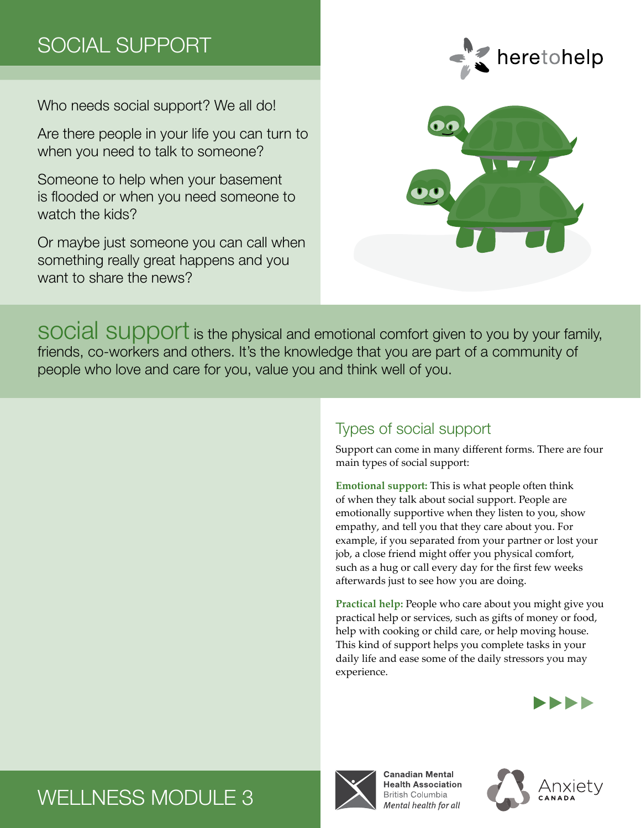# SOCIAL SUPPORT

Who needs social support? We all do!

Are there people in your life you can turn to when you need to talk to someone?

Someone to help when your basement is flooded or when you need someone to watch the kids?

Or maybe just someone you can call when something really great happens and you want to share the news?





social support is the physical and emotional comfort given to you by your family, friends, co-workers and others. It's the knowledge that you are part of a community of people who love and care for you, value you and think well of you.

## Types of social support

Support can come in many different forms. There are four main types of social support:

**Emotional support:** This is what people often think of when they talk about social support. People are emotionally supportive when they listen to you, show empathy, and tell you that they care about you. For example, if you separated from your partner or lost your job, a close friend might offer you physical comfort, such as a hug or call every day for the first few weeks afterwards just to see how you are doing.

**Practical help:** People who care about you might give you practical help or services, such as gifts of money or food, help with cooking or child care, or help moving house. This kind of support helps you complete tasks in your daily life and ease some of the daily stressors you may experience.



# WELLNESS MODULE 3



**Canadian Mental Health Association British Columbia** Mental health for all

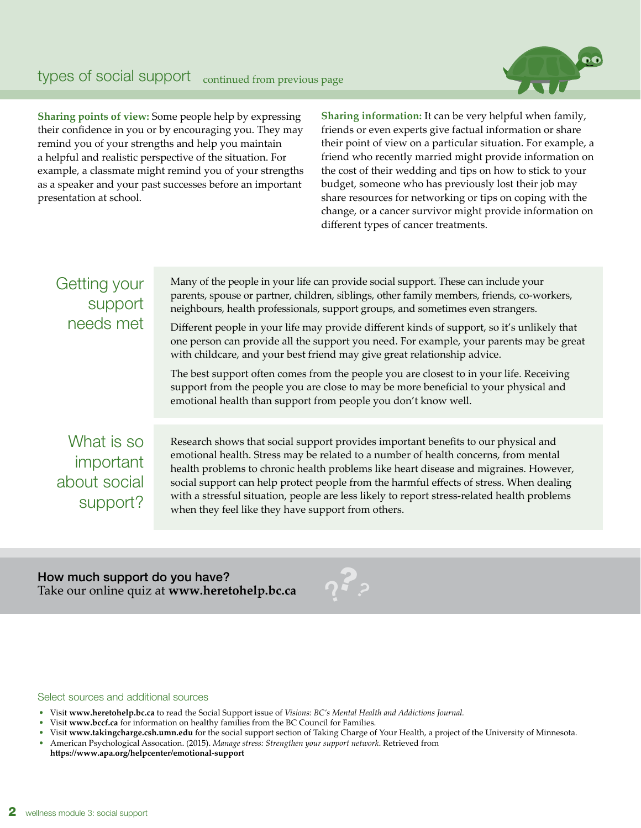

**Sharing points of view:** Some people help by expressing their confidence in you or by encouraging you. They may remind you of your strengths and help you maintain a helpful and realistic perspective of the situation. For example, a classmate might remind you of your strengths as a speaker and your past successes before an important presentation at school.

**Sharing information:** It can be very helpful when family, friends or even experts give factual information or share their point of view on a particular situation. For example, a friend who recently married might provide information on the cost of their wedding and tips on how to stick to your budget, someone who has previously lost their job may share resources for networking or tips on coping with the change, or a cancer survivor might provide information on different types of cancer treatments.

| Getting your<br>support<br>needs met                       | Many of the people in your life can provide social support. These can include your<br>parents, spouse or partner, children, siblings, other family members, friends, co-workers,<br>neighbours, health professionals, support groups, and sometimes even strangers.<br>Different people in your life may provide different kinds of support, so it's unlikely that<br>one person can provide all the support you need. For example, your parents may be great<br>with childcare, and your best friend may give great relationship advice.<br>The best support often comes from the people you are closest to in your life. Receiving<br>support from the people you are close to may be more beneficial to your physical and<br>emotional health than support from people you don't know well. |
|------------------------------------------------------------|------------------------------------------------------------------------------------------------------------------------------------------------------------------------------------------------------------------------------------------------------------------------------------------------------------------------------------------------------------------------------------------------------------------------------------------------------------------------------------------------------------------------------------------------------------------------------------------------------------------------------------------------------------------------------------------------------------------------------------------------------------------------------------------------|
| What is so<br><i>important</i><br>about social<br>support? | Research shows that social support provides important benefits to our physical and<br>emotional health. Stress may be related to a number of health concerns, from mental<br>health problems to chronic health problems like heart disease and migraines. However,<br>social support can help protect people from the harmful effects of stress. When dealing<br>with a stressful situation, people are less likely to report stress-related health problems<br>when they feel like they have support from others.                                                                                                                                                                                                                                                                             |

How much support do you have? Take our online quiz at **www.heretohelp.bc.ca** ?



Select sources and additional sources

- Visit **www.heretohelp.bc.ca** to read the Social Support issue of *Visions: BC's Mental Health and Addictions Journal.*
- Visit **www.bccf.ca** for information on healthy families from the BC Council for Families.
- Visit **www.takingcharge.csh.umn.edu** for the social support section of Taking Charge of Your Health, a project of the University of Minnesota.
- American Psychological Assocation. (2015). *Manage stress: Strengthen your support network*. Retrieved from
- **https://www.apa.org/helpcenter/emotional-support**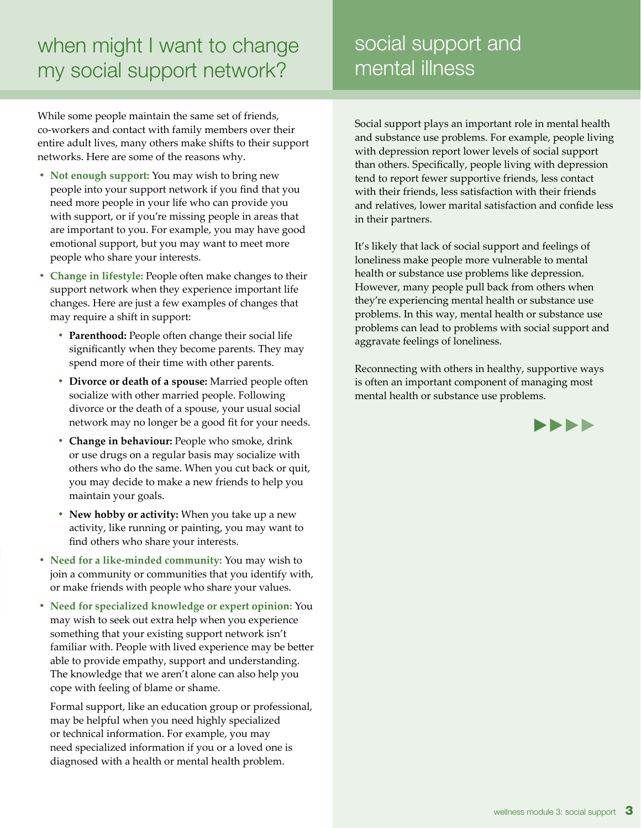# when might I want to change my social support network?

While some people maintain the same set of friends, co-workers and contact with family members over their entire adult lives, many others make shifts to their support networks. Here are some of the reasons why.

- **• Not enough support:** You may wish to bring new people into your support network if you find that you need more people in your life who can provide you with support, or if you're missing people in areas that are important to you. For example, you may have good emotional support, but you may want to meet more people who share your interests.
- **• Change in lifestyle:** People often make changes to their support network when they experience important life changes. Here are just a few examples of changes that may require a shift in support:
	- **• Parenthood:** People often change their social life significantly when they become parents. They may spend more of their time with other parents.
	- **• Divorce or death of a spouse:** Married people often socialize with other married people. Following divorce or the death of a spouse, your usual social network may no longer be a good fit for your needs.
	- **• Change in behaviour:** People who smoke, drink or use drugs on a regular basis may socialize with others who do the same. When you cut back or quit, you may decide to make a new friends to help you maintain your goals.
	- **• New hobby or activity:** When you take up a new activity, like running or painting, you may want to find others who share your interests.
- **• Need for a like-minded community:** You may wish to join a community or communities that you identify with, or make friends with people who share your values.
- **• Need for specialized knowledge or expert opinion:** You may wish to seek out extra help when you experience something that your existing support network isn't familiar with. People with lived experience may be better able to provide empathy, support and understanding. The knowledge that we aren't alone can also help you cope with feeling of blame or shame.

Formal support, like an education group or professional, may be helpful when you need highly specialized or technical information. For example, you may need specialized information if you or a loved one is diagnosed with a health or mental health problem.

social support and mental illness

Social support plays an important role in mental health and substance use problems. For example, people living with depression report lower levels of social support than others. Specifically, people living with depression tend to report fewer supportive friends, less contact with their friends, less satisfaction with their friends and relatives, lower marital satisfaction and confide less in their partners.

It's likely that lack of social support and feelings of loneliness make people more vulnerable to mental health or substance use problems like depression. However, many people pull back from others when they're experiencing mental health or substance use problems. In this way, mental health or substance use problems can lead to problems with social support and aggravate feelings of loneliness.

Reconnecting with others in healthy, supportive ways is often an important component of managing most mental health or substance use problems.